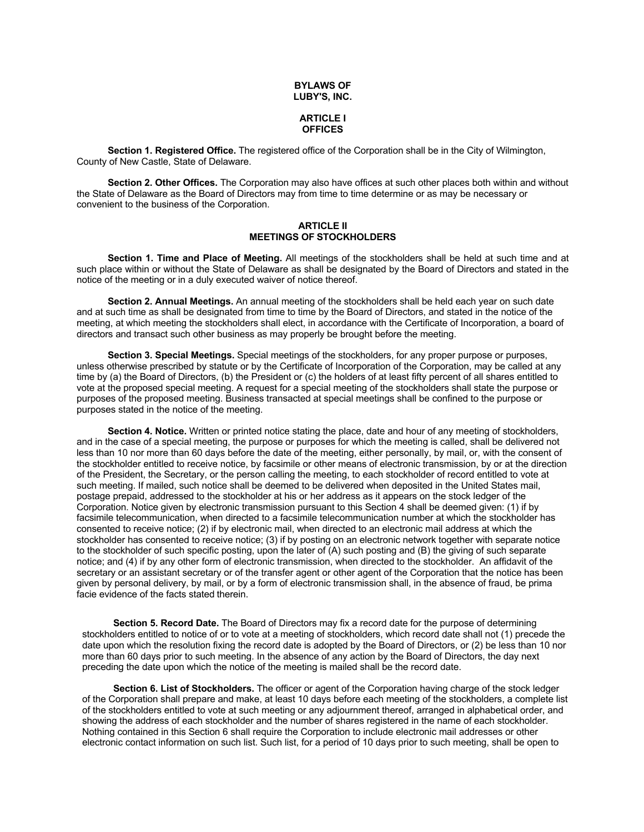#### **BYLAWS OF LUBY'S, INC.**

## **ARTICLE I OFFICES**

**Section 1. Registered Office.** The registered office of the Corporation shall be in the City of Wilmington, County of New Castle, State of Delaware.

**Section 2. Other Offices.** The Corporation may also have offices at such other places both within and without the State of Delaware as the Board of Directors may from time to time determine or as may be necessary or convenient to the business of the Corporation.

### **ARTICLE II MEETINGS OF STOCKHOLDERS**

**Section 1. Time and Place of Meeting.** All meetings of the stockholders shall be held at such time and at such place within or without the State of Delaware as shall be designated by the Board of Directors and stated in the notice of the meeting or in a duly executed waiver of notice thereof.

**Section 2. Annual Meetings.** An annual meeting of the stockholders shall be held each year on such date and at such time as shall be designated from time to time by the Board of Directors, and stated in the notice of the meeting, at which meeting the stockholders shall elect, in accordance with the Certificate of Incorporation, a board of directors and transact such other business as may properly be brought before the meeting.

**Section 3. Special Meetings.** Special meetings of the stockholders, for any proper purpose or purposes, unless otherwise prescribed by statute or by the Certificate of Incorporation of the Corporation, may be called at any time by (a) the Board of Directors, (b) the President or (c) the holders of at least fifty percent of all shares entitled to vote at the proposed special meeting. A request for a special meeting of the stockholders shall state the purpose or purposes of the proposed meeting. Business transacted at special meetings shall be confined to the purpose or purposes stated in the notice of the meeting.

**Section 4. Notice.** Written or printed notice stating the place, date and hour of any meeting of stockholders, and in the case of a special meeting, the purpose or purposes for which the meeting is called, shall be delivered not less than 10 nor more than 60 days before the date of the meeting, either personally, by mail, or, with the consent of the stockholder entitled to receive notice, by facsimile or other means of electronic transmission, by or at the direction of the President, the Secretary, or the person calling the meeting, to each stockholder of record entitled to vote at such meeting. If mailed, such notice shall be deemed to be delivered when deposited in the United States mail, postage prepaid, addressed to the stockholder at his or her address as it appears on the stock ledger of the Corporation. Notice given by electronic transmission pursuant to this Section 4 shall be deemed given: (1) if by facsimile telecommunication, when directed to a facsimile telecommunication number at which the stockholder has consented to receive notice; (2) if by electronic mail, when directed to an electronic mail address at which the stockholder has consented to receive notice; (3) if by posting on an electronic network together with separate notice to the stockholder of such specific posting, upon the later of (A) such posting and (B) the giving of such separate notice; and (4) if by any other form of electronic transmission, when directed to the stockholder. An affidavit of the secretary or an assistant secretary or of the transfer agent or other agent of the Corporation that the notice has been given by personal delivery, by mail, or by a form of electronic transmission shall, in the absence of fraud, be prima facie evidence of the facts stated therein.

**Section 5. Record Date.** The Board of Directors may fix a record date for the purpose of determining stockholders entitled to notice of or to vote at a meeting of stockholders, which record date shall not (1) precede the date upon which the resolution fixing the record date is adopted by the Board of Directors, or (2) be less than 10 nor more than 60 days prior to such meeting. In the absence of any action by the Board of Directors, the day next preceding the date upon which the notice of the meeting is mailed shall be the record date.

**Section 6. List of Stockholders.** The officer or agent of the Corporation having charge of the stock ledger of the Corporation shall prepare and make, at least 10 days before each meeting of the stockholders, a complete list of the stockholders entitled to vote at such meeting or any adjournment thereof, arranged in alphabetical order, and showing the address of each stockholder and the number of shares registered in the name of each stockholder. Nothing contained in this Section 6 shall require the Corporation to include electronic mail addresses or other electronic contact information on such list. Such list, for a period of 10 days prior to such meeting, shall be open to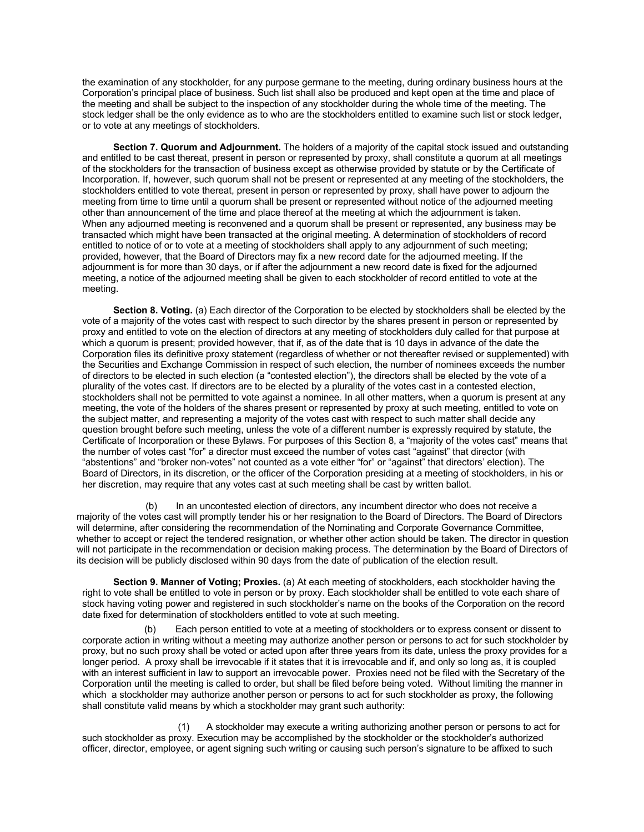the examination of any stockholder, for any purpose germane to the meeting, during ordinary business hours at the Corporation's principal place of business. Such list shall also be produced and kept open at the time and place of the meeting and shall be subject to the inspection of any stockholder during the whole time of the meeting. The stock ledger shall be the only evidence as to who are the stockholders entitled to examine such list or stock ledger, or to vote at any meetings of stockholders.

**Section 7. Quorum and Adjournment.** The holders of a majority of the capital stock issued and outstanding and entitled to be cast thereat, present in person or represented by proxy, shall constitute a quorum at all meetings of the stockholders for the transaction of business except as otherwise provided by statute or by the Certificate of Incorporation. If, however, such quorum shall not be present or represented at any meeting of the stockholders, the stockholders entitled to vote thereat, present in person or represented by proxy, shall have power to adjourn the meeting from time to time until a quorum shall be present or represented without notice of the adjourned meeting other than announcement of the time and place thereof at the meeting at which the adjournment is taken. When any adjourned meeting is reconvened and a quorum shall be present or represented, any business may be transacted which might have been transacted at the original meeting. A determination of stockholders of record entitled to notice of or to vote at a meeting of stockholders shall apply to any adjournment of such meeting; provided, however, that the Board of Directors may fix a new record date for the adjourned meeting. If the adjournment is for more than 30 days, or if after the adjournment a new record date is fixed for the adjourned meeting, a notice of the adjourned meeting shall be given to each stockholder of record entitled to vote at the meeting.

**Section 8. Voting.** (a) Each director of the Corporation to be elected by stockholders shall be elected by the vote of a majority of the votes cast with respect to such director by the shares present in person or represented by proxy and entitled to vote on the election of directors at any meeting of stockholders duly called for that purpose at which a quorum is present; provided however, that if, as of the date that is 10 days in advance of the date the Corporation files its definitive proxy statement (regardless of whether or not thereafter revised or supplemented) with the Securities and Exchange Commission in respect of such election, the number of nominees exceeds the number of directors to be elected in such election (a "contested election"), the directors shall be elected by the vote of a plurality of the votes cast. If directors are to be elected by a plurality of the votes cast in a contested election, stockholders shall not be permitted to vote against a nominee. In all other matters, when a quorum is present at any meeting, the vote of the holders of the shares present or represented by proxy at such meeting, entitled to vote on the subject matter, and representing a majority of the votes cast with respect to such matter shall decide any question brought before such meeting, unless the vote of a different number is expressly required by statute, the Certificate of Incorporation or these Bylaws. For purposes of this Section 8, a "majority of the votes cast" means that the number of votes cast "for" a director must exceed the number of votes cast "against" that director (with "abstentions" and "broker non-votes" not counted as a vote either "for" or "against" that directors' election). The Board of Directors, in its discretion, or the officer of the Corporation presiding at a meeting of stockholders, in his or her discretion, may require that any votes cast at such meeting shall be cast by written ballot.

(b) In an uncontested election of directors, any incumbent director who does not receive a majority of the votes cast will promptly tender his or her resignation to the Board of Directors. The Board of Directors will determine, after considering the recommendation of the Nominating and Corporate Governance Committee, whether to accept or reject the tendered resignation, or whether other action should be taken. The director in question will not participate in the recommendation or decision making process. The determination by the Board of Directors of its decision will be publicly disclosed within 90 days from the date of publication of the election result.

**Section 9. Manner of Voting; Proxies.** (a) At each meeting of stockholders, each stockholder having the right to vote shall be entitled to vote in person or by proxy. Each stockholder shall be entitled to vote each share of stock having voting power and registered in such stockholder's name on the books of the Corporation on the record date fixed for determination of stockholders entitled to vote at such meeting.

Each person entitled to vote at a meeting of stockholders or to express consent or dissent to corporate action in writing without a meeting may authorize another person or persons to act for such stockholder by proxy, but no such proxy shall be voted or acted upon after three years from its date, unless the proxy provides for a longer period. A proxy shall be irrevocable if it states that it is irrevocable and if, and only so long as, it is coupled with an interest sufficient in law to support an irrevocable power. Proxies need not be filed with the Secretary of the Corporation until the meeting is called to order, but shall be filed before being voted. Without limiting the manner in which a stockholder may authorize another person or persons to act for such stockholder as proxy, the following shall constitute valid means by which a stockholder may grant such authority:

(1) A stockholder may execute a writing authorizing another person or persons to act for such stockholder as proxy. Execution may be accomplished by the stockholder or the stockholder's authorized officer, director, employee, or agent signing such writing or causing such person's signature to be affixed to such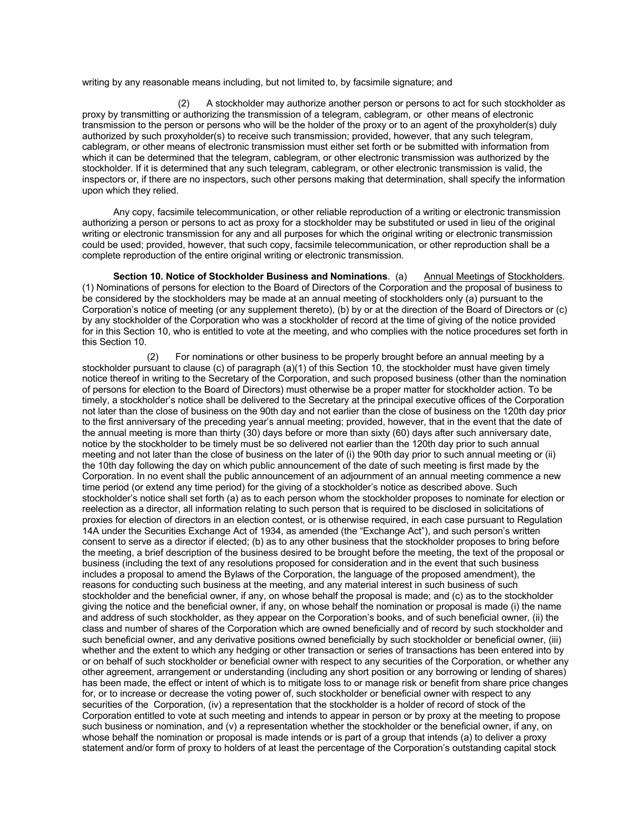writing by any reasonable means including, but not limited to, by facsimile signature; and

(2) A stockholder may authorize another person or persons to act for such stockholder as proxy by transmitting or authorizing the transmission of a telegram, cablegram, or other means of electronic transmission to the person or persons who will be the holder of the proxy or to an agent of the proxyholder(s) duly authorized by such proxyholder(s) to receive such transmission; provided, however, that any such telegram, cablegram, or other means of electronic transmission must either set forth or be submitted with information from which it can be determined that the telegram, cablegram, or other electronic transmission was authorized by the stockholder. If it is determined that any such telegram, cablegram, or other electronic transmission is valid, the inspectors or, if there are no inspectors, such other persons making that determination, shall specify the information upon which they relied.

Any copy, facsimile telecommunication, or other reliable reproduction of a writing or electronic transmission authorizing a person or persons to act as proxy for a stockholder may be substituted or used in lieu of the original writing or electronic transmission for any and all purposes for which the original writing or electronic transmission could be used; provided, however, that such copy, facsimile telecommunication, or other reproduction shall be a complete reproduction of the entire original writing or electronic transmission.

**Section 10. Notice of Stockholder Business and Nominations**. (a) Annual Meetings of Stockholders. (1) Nominations of persons for election to the Board of Directors of the Corporation and the proposal of business to be considered by the stockholders may be made at an annual meeting of stockholders only (a) pursuant to the Corporation's notice of meeting (or any supplement thereto), (b) by or at the direction of the Board of Directors or (c) by any stockholder of the Corporation who was a stockholder of record at the time of giving of the notice provided for in this Section 10, who is entitled to vote at the meeting, and who complies with the notice procedures set forth in this Section 10.

(2) For nominations or other business to be properly brought before an annual meeting by a stockholder pursuant to clause (c) of paragraph (a)(1) of this Section 10, the stockholder must have given timely notice thereof in writing to the Secretary of the Corporation, and such proposed business (other than the nomination of persons for election to the Board of Directors) must otherwise be a proper matter for stockholder action. To be timely, a stockholder's notice shall be delivered to the Secretary at the principal executive offices of the Corporation not later than the close of business on the 90th day and not earlier than the close of business on the 120th day prior to the first anniversary of the preceding year's annual meeting; provided, however, that in the event that the date of the annual meeting is more than thirty (30) days before or more than sixty (60) days after such anniversary date, notice by the stockholder to be timely must be so delivered not earlier than the 120th day prior to such annual meeting and not later than the close of business on the later of (i) the 90th day prior to such annual meeting or (ii) the 10th day following the day on which public announcement of the date of such meeting is first made by the Corporation. In no event shall the public announcement of an adjournment of an annual meeting commence a new time period (or extend any time period) for the giving of a stockholder's notice as described above. Such stockholder's notice shall set forth (a) as to each person whom the stockholder proposes to nominate for election or reelection as a director, all information relating to such person that is required to be disclosed in solicitations of proxies for election of directors in an election contest, or is otherwise required, in each case pursuant to Regulation 14A under the Securities Exchange Act of 1934, as amended (the "Exchange Act"), and such person's written consent to serve as a director if elected; (b) as to any other business that the stockholder proposes to bring before the meeting, a brief description of the business desired to be brought before the meeting, the text of the proposal or business (including the text of any resolutions proposed for consideration and in the event that such business includes a proposal to amend the Bylaws of the Corporation, the language of the proposed amendment), the reasons for conducting such business at the meeting, and any material interest in such business of such stockholder and the beneficial owner, if any, on whose behalf the proposal is made; and (c) as to the stockholder giving the notice and the beneficial owner, if any, on whose behalf the nomination or proposal is made (i) the name and address of such stockholder, as they appear on the Corporation's books, and of such beneficial owner, (ii) the class and number of shares of the Corporation which are owned beneficially and of record by such stockholder and such beneficial owner, and any derivative positions owned beneficially by such stockholder or beneficial owner, (iii) whether and the extent to which any hedging or other transaction or series of transactions has been entered into by or on behalf of such stockholder or beneficial owner with respect to any securities of the Corporation, or whether any other agreement, arrangement or understanding (including any short position or any borrowing or lending of shares) has been made, the effect or intent of which is to mitigate loss to or manage risk or benefit from share price changes for, or to increase or decrease the voting power of, such stockholder or beneficial owner with respect to any securities of the Corporation, (iv) a representation that the stockholder is a holder of record of stock of the Corporation entitled to vote at such meeting and intends to appear in person or by proxy at the meeting to propose such business or nomination, and (v) a representation whether the stockholder or the beneficial owner, if any, on whose behalf the nomination or proposal is made intends or is part of a group that intends (a) to deliver a proxy statement and/or form of proxy to holders of at least the percentage of the Corporation's outstanding capital stock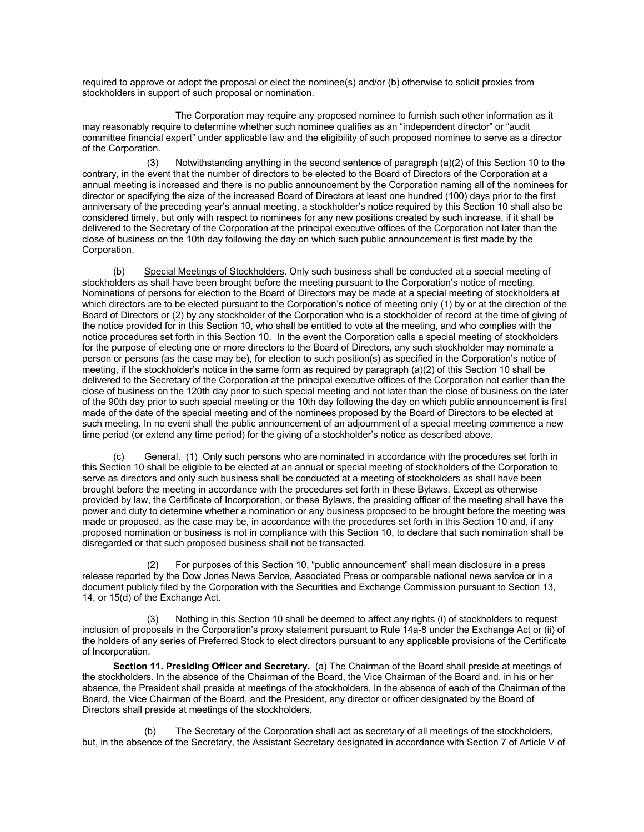required to approve or adopt the proposal or elect the nominee(s) and/or (b) otherwise to solicit proxies from stockholders in support of such proposal or nomination.

The Corporation may require any proposed nominee to furnish such other information as it may reasonably require to determine whether such nominee qualifies as an "independent director" or "audit committee financial expert" under applicable law and the eligibility of such proposed nominee to serve as a director of the Corporation.

(3) Notwithstanding anything in the second sentence of paragraph (a)(2) of this Section 10 to the contrary, in the event that the number of directors to be elected to the Board of Directors of the Corporation at a annual meeting is increased and there is no public announcement by the Corporation naming all of the nominees for director or specifying the size of the increased Board of Directors at least one hundred (100) days prior to the first anniversary of the preceding year's annual meeting, a stockholder's notice required by this Section 10 shall also be considered timely, but only with respect to nominees for any new positions created by such increase, if it shall be delivered to the Secretary of the Corporation at the principal executive offices of the Corporation not later than the close of business on the 10th day following the day on which such public announcement is first made by the Corporation.

(b) Special Meetings of Stockholders. Only such business shall be conducted at a special meeting of stockholders as shall have been brought before the meeting pursuant to the Corporation's notice of meeting. Nominations of persons for election to the Board of Directors may be made at a special meeting of stockholders at which directors are to be elected pursuant to the Corporation's notice of meeting only (1) by or at the direction of the Board of Directors or (2) by any stockholder of the Corporation who is a stockholder of record at the time of giving of the notice provided for in this Section 10, who shall be entitled to vote at the meeting, and who complies with the notice procedures set forth in this Section 10. In the event the Corporation calls a special meeting of stockholders for the purpose of electing one or more directors to the Board of Directors, any such stockholder may nominate a person or persons (as the case may be), for election to such position(s) as specified in the Corporation's notice of meeting, if the stockholder's notice in the same form as required by paragraph (a)(2) of this Section 10 shall be delivered to the Secretary of the Corporation at the principal executive offices of the Corporation not earlier than the close of business on the 120th day prior to such special meeting and not later than the close of business on the later of the 90th day prior to such special meeting or the 10th day following the day on which public announcement is first made of the date of the special meeting and of the nominees proposed by the Board of Directors to be elected at such meeting. In no event shall the public announcement of an adjournment of a special meeting commence a new time period (or extend any time period) for the giving of a stockholder's notice as described above.

General. (1) Only such persons who are nominated in accordance with the procedures set forth in this Section 10 shall be eligible to be elected at an annual or special meeting of stockholders of the Corporation to serve as directors and only such business shall be conducted at a meeting of stockholders as shall have been brought before the meeting in accordance with the procedures set forth in these Bylaws. Except as otherwise provided by law, the Certificate of Incorporation, or these Bylaws, the presiding officer of the meeting shall have the power and duty to determine whether a nomination or any business proposed to be brought before the meeting was made or proposed, as the case may be, in accordance with the procedures set forth in this Section 10 and, if any proposed nomination or business is not in compliance with this Section 10, to declare that such nomination shall be disregarded or that such proposed business shall not be transacted.

For purposes of this Section 10, "public announcement" shall mean disclosure in a press release reported by the Dow Jones News Service, Associated Press or comparable national news service or in a document publicly filed by the Corporation with the Securities and Exchange Commission pursuant to Section 13, 14, or 15(d) of the Exchange Act.

(3) Nothing in this Section 10 shall be deemed to affect any rights (i) of stockholders to request inclusion of proposals in the Corporation's proxy statement pursuant to Rule 14a-8 under the Exchange Act or (ii) of the holders of any series of Preferred Stock to elect directors pursuant to any applicable provisions of the Certificate of Incorporation.

**Section 11. Presiding Officer and Secretary.** (a) The Chairman of the Board shall preside at meetings of the stockholders. In the absence of the Chairman of the Board, the Vice Chairman of the Board and, in his or her absence, the President shall preside at meetings of the stockholders. In the absence of each of the Chairman of the Board, the Vice Chairman of the Board, and the President, any director or officer designated by the Board of Directors shall preside at meetings of the stockholders.

(b) The Secretary of the Corporation shall act as secretary of all meetings of the stockholders, but, in the absence of the Secretary, the Assistant Secretary designated in accordance with Section 7 of Article V of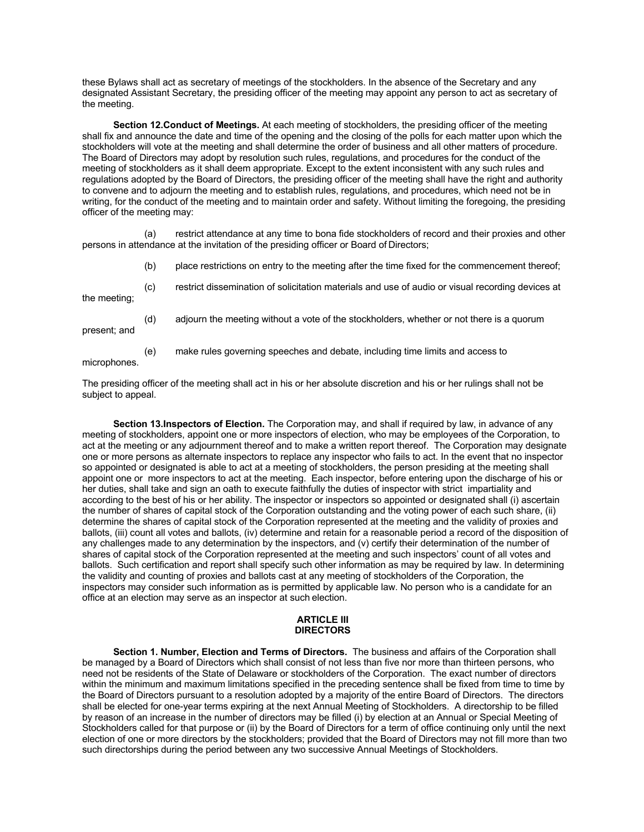these Bylaws shall act as secretary of meetings of the stockholders. In the absence of the Secretary and any designated Assistant Secretary, the presiding officer of the meeting may appoint any person to act as secretary of the meeting.

**Section 12.Conduct of Meetings.** At each meeting of stockholders, the presiding officer of the meeting shall fix and announce the date and time of the opening and the closing of the polls for each matter upon which the stockholders will vote at the meeting and shall determine the order of business and all other matters of procedure. The Board of Directors may adopt by resolution such rules, regulations, and procedures for the conduct of the meeting of stockholders as it shall deem appropriate. Except to the extent inconsistent with any such rules and regulations adopted by the Board of Directors, the presiding officer of the meeting shall have the right and authority to convene and to adjourn the meeting and to establish rules, regulations, and procedures, which need not be in writing, for the conduct of the meeting and to maintain order and safety. Without limiting the foregoing, the presiding officer of the meeting may:

(a) restrict attendance at any time to bona fide stockholders of record and their proxies and other persons in attendance at the invitation of the presiding officer or Board of Directors;

- (b) place restrictions on entry to the meeting after the time fixed for the commencement thereof;
- (c) restrict dissemination of solicitation materials and use of audio or visual recording devices at

(d) adjourn the meeting without a vote of the stockholders, whether or not there is a quorum

the meeting;

- present; and
- (e) make rules governing speeches and debate, including time limits and access to

microphones.

The presiding officer of the meeting shall act in his or her absolute discretion and his or her rulings shall not be subject to appeal.

**Section 13.Inspectors of Election.** The Corporation may, and shall if required by law, in advance of any meeting of stockholders, appoint one or more inspectors of election, who may be employees of the Corporation, to act at the meeting or any adjournment thereof and to make a written report thereof. The Corporation may designate one or more persons as alternate inspectors to replace any inspector who fails to act. In the event that no inspector so appointed or designated is able to act at a meeting of stockholders, the person presiding at the meeting shall appoint one or more inspectors to act at the meeting. Each inspector, before entering upon the discharge of his or her duties, shall take and sign an oath to execute faithfully the duties of inspector with strict impartiality and according to the best of his or her ability. The inspector or inspectors so appointed or designated shall (i) ascertain the number of shares of capital stock of the Corporation outstanding and the voting power of each such share, (ii) determine the shares of capital stock of the Corporation represented at the meeting and the validity of proxies and ballots, (iii) count all votes and ballots, (iv) determine and retain for a reasonable period a record of the disposition of any challenges made to any determination by the inspectors, and (v) certify their determination of the number of shares of capital stock of the Corporation represented at the meeting and such inspectors' count of all votes and ballots. Such certification and report shall specify such other information as may be required by law. In determining the validity and counting of proxies and ballots cast at any meeting of stockholders of the Corporation, the inspectors may consider such information as is permitted by applicable law. No person who is a candidate for an office at an election may serve as an inspector at such election.

#### **ARTICLE III DIRECTORS**

**Section 1. Number, Election and Terms of Directors.** The business and affairs of the Corporation shall be managed by a Board of Directors which shall consist of not less than five nor more than thirteen persons, who need not be residents of the State of Delaware or stockholders of the Corporation. The exact number of directors within the minimum and maximum limitations specified in the preceding sentence shall be fixed from time to time by the Board of Directors pursuant to a resolution adopted by a majority of the entire Board of Directors. The directors shall be elected for one-year terms expiring at the next Annual Meeting of Stockholders. A directorship to be filled by reason of an increase in the number of directors may be filled (i) by election at an Annual or Special Meeting of Stockholders called for that purpose or (ii) by the Board of Directors for a term of office continuing only until the next election of one or more directors by the stockholders; provided that the Board of Directors may not fill more than two such directorships during the period between any two successive Annual Meetings of Stockholders.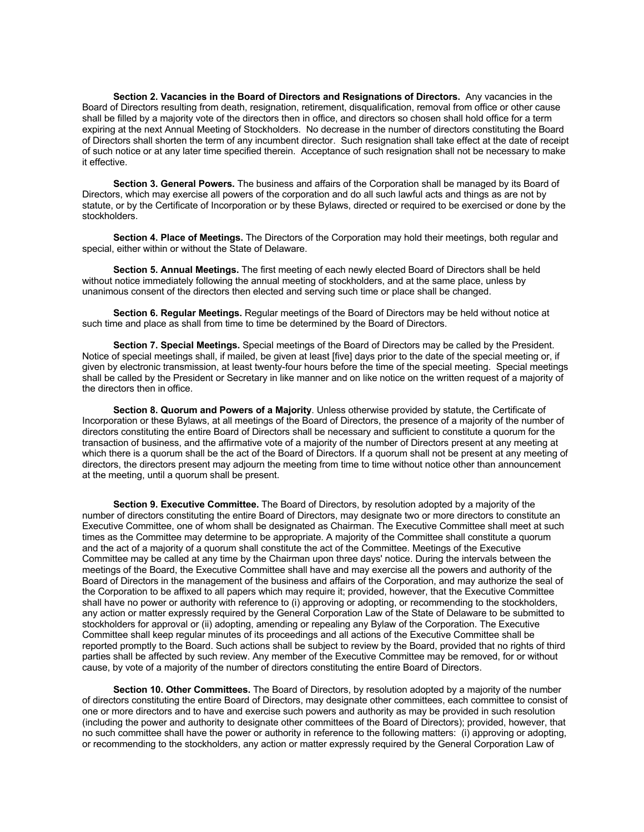**Section 2. Vacancies in the Board of Directors and Resignations of Directors.** Any vacancies in the Board of Directors resulting from death, resignation, retirement, disqualification, removal from office or other cause shall be filled by a majority vote of the directors then in office, and directors so chosen shall hold office for a term expiring at the next Annual Meeting of Stockholders. No decrease in the number of directors constituting the Board of Directors shall shorten the term of any incumbent director. Such resignation shall take effect at the date of receipt of such notice or at any later time specified therein. Acceptance of such resignation shall not be necessary to make it effective.

**Section 3. General Powers.** The business and affairs of the Corporation shall be managed by its Board of Directors, which may exercise all powers of the corporation and do all such lawful acts and things as are not by statute, or by the Certificate of Incorporation or by these Bylaws, directed or required to be exercised or done by the stockholders.

**Section 4. Place of Meetings.** The Directors of the Corporation may hold their meetings, both regular and special, either within or without the State of Delaware.

**Section 5. Annual Meetings.** The first meeting of each newly elected Board of Directors shall be held without notice immediately following the annual meeting of stockholders, and at the same place, unless by unanimous consent of the directors then elected and serving such time or place shall be changed.

**Section 6. Regular Meetings.** Regular meetings of the Board of Directors may be held without notice at such time and place as shall from time to time be determined by the Board of Directors.

**Section 7. Special Meetings.** Special meetings of the Board of Directors may be called by the President. Notice of special meetings shall, if mailed, be given at least [five] days prior to the date of the special meeting or, if given by electronic transmission, at least twenty-four hours before the time of the special meeting. Special meetings shall be called by the President or Secretary in like manner and on like notice on the written request of a majority of the directors then in office.

**Section 8. Quorum and Powers of a Majority**. Unless otherwise provided by statute, the Certificate of Incorporation or these Bylaws, at all meetings of the Board of Directors, the presence of a majority of the number of directors constituting the entire Board of Directors shall be necessary and sufficient to constitute a quorum for the transaction of business, and the affirmative vote of a majority of the number of Directors present at any meeting at which there is a quorum shall be the act of the Board of Directors. If a quorum shall not be present at any meeting of directors, the directors present may adjourn the meeting from time to time without notice other than announcement at the meeting, until a quorum shall be present.

**Section 9. Executive Committee.** The Board of Directors, by resolution adopted by a majority of the number of directors constituting the entire Board of Directors, may designate two or more directors to constitute an Executive Committee, one of whom shall be designated as Chairman. The Executive Committee shall meet at such times as the Committee may determine to be appropriate. A majority of the Committee shall constitute a quorum and the act of a majority of a quorum shall constitute the act of the Committee. Meetings of the Executive Committee may be called at any time by the Chairman upon three days' notice. During the intervals between the meetings of the Board, the Executive Committee shall have and may exercise all the powers and authority of the Board of Directors in the management of the business and affairs of the Corporation, and may authorize the seal of the Corporation to be affixed to all papers which may require it; provided, however, that the Executive Committee shall have no power or authority with reference to (i) approving or adopting, or recommending to the stockholders, any action or matter expressly required by the General Corporation Law of the State of Delaware to be submitted to stockholders for approval or (ii) adopting, amending or repealing any Bylaw of the Corporation. The Executive Committee shall keep regular minutes of its proceedings and all actions of the Executive Committee shall be reported promptly to the Board. Such actions shall be subject to review by the Board, provided that no rights of third parties shall be affected by such review. Any member of the Executive Committee may be removed, for or without cause, by vote of a majority of the number of directors constituting the entire Board of Directors.

**Section 10. Other Committees.** The Board of Directors, by resolution adopted by a majority of the number of directors constituting the entire Board of Directors, may designate other committees, each committee to consist of one or more directors and to have and exercise such powers and authority as may be provided in such resolution (including the power and authority to designate other committees of the Board of Directors); provided, however, that no such committee shall have the power or authority in reference to the following matters: (i) approving or adopting, or recommending to the stockholders, any action or matter expressly required by the General Corporation Law of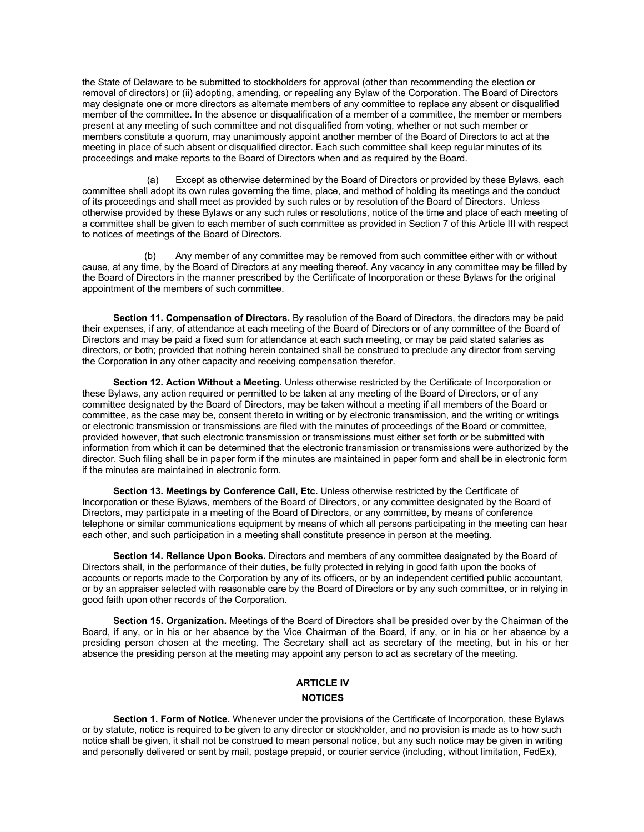the State of Delaware to be submitted to stockholders for approval (other than recommending the election or removal of directors) or (ii) adopting, amending, or repealing any Bylaw of the Corporation. The Board of Directors may designate one or more directors as alternate members of any committee to replace any absent or disqualified member of the committee. In the absence or disqualification of a member of a committee, the member or members present at any meeting of such committee and not disqualified from voting, whether or not such member or members constitute a quorum, may unanimously appoint another member of the Board of Directors to act at the meeting in place of such absent or disqualified director. Each such committee shall keep regular minutes of its proceedings and make reports to the Board of Directors when and as required by the Board.

(a) Except as otherwise determined by the Board of Directors or provided by these Bylaws, each committee shall adopt its own rules governing the time, place, and method of holding its meetings and the conduct of its proceedings and shall meet as provided by such rules or by resolution of the Board of Directors. Unless otherwise provided by these Bylaws or any such rules or resolutions, notice of the time and place of each meeting of a committee shall be given to each member of such committee as provided in Section 7 of this Article III with respect to notices of meetings of the Board of Directors.

(b) Any member of any committee may be removed from such committee either with or without cause, at any time, by the Board of Directors at any meeting thereof. Any vacancy in any committee may be filled by the Board of Directors in the manner prescribed by the Certificate of Incorporation or these Bylaws for the original appointment of the members of such committee.

**Section 11. Compensation of Directors.** By resolution of the Board of Directors, the directors may be paid their expenses, if any, of attendance at each meeting of the Board of Directors or of any committee of the Board of Directors and may be paid a fixed sum for attendance at each such meeting, or may be paid stated salaries as directors, or both; provided that nothing herein contained shall be construed to preclude any director from serving the Corporation in any other capacity and receiving compensation therefor.

**Section 12. Action Without a Meeting.** Unless otherwise restricted by the Certificate of Incorporation or these Bylaws, any action required or permitted to be taken at any meeting of the Board of Directors, or of any committee designated by the Board of Directors, may be taken without a meeting if all members of the Board or committee, as the case may be, consent thereto in writing or by electronic transmission, and the writing or writings or electronic transmission or transmissions are filed with the minutes of proceedings of the Board or committee, provided however, that such electronic transmission or transmissions must either set forth or be submitted with information from which it can be determined that the electronic transmission or transmissions were authorized by the director. Such filing shall be in paper form if the minutes are maintained in paper form and shall be in electronic form if the minutes are maintained in electronic form.

**Section 13. Meetings by Conference Call, Etc.** Unless otherwise restricted by the Certificate of Incorporation or these Bylaws, members of the Board of Directors, or any committee designated by the Board of Directors, may participate in a meeting of the Board of Directors, or any committee, by means of conference telephone or similar communications equipment by means of which all persons participating in the meeting can hear each other, and such participation in a meeting shall constitute presence in person at the meeting.

**Section 14. Reliance Upon Books.** Directors and members of any committee designated by the Board of Directors shall, in the performance of their duties, be fully protected in relying in good faith upon the books of accounts or reports made to the Corporation by any of its officers, or by an independent certified public accountant, or by an appraiser selected with reasonable care by the Board of Directors or by any such committee, or in relying in good faith upon other records of the Corporation.

**Section 15. Organization.** Meetings of the Board of Directors shall be presided over by the Chairman of the Board, if any, or in his or her absence by the Vice Chairman of the Board, if any, or in his or her absence by a presiding person chosen at the meeting. The Secretary shall act as secretary of the meeting, but in his or her absence the presiding person at the meeting may appoint any person to act as secretary of the meeting.

## **ARTICLE IV**

## **NOTICES**

**Section 1. Form of Notice.** Whenever under the provisions of the Certificate of Incorporation, these Bylaws or by statute, notice is required to be given to any director or stockholder, and no provision is made as to how such notice shall be given, it shall not be construed to mean personal notice, but any such notice may be given in writing and personally delivered or sent by mail, postage prepaid, or courier service (including, without limitation, FedEx),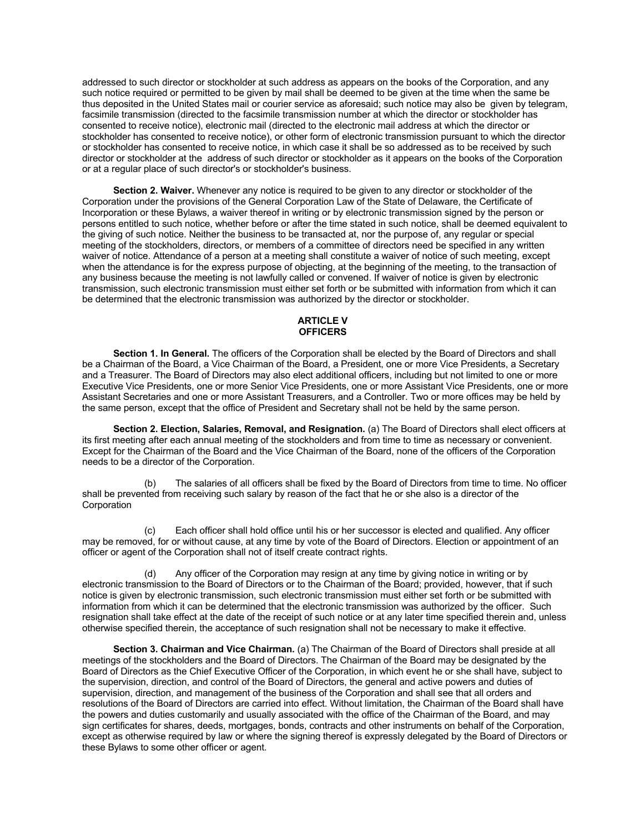addressed to such director or stockholder at such address as appears on the books of the Corporation, and any such notice required or permitted to be given by mail shall be deemed to be given at the time when the same be thus deposited in the United States mail or courier service as aforesaid; such notice may also be given by telegram, facsimile transmission (directed to the facsimile transmission number at which the director or stockholder has consented to receive notice), electronic mail (directed to the electronic mail address at which the director or stockholder has consented to receive notice), or other form of electronic transmission pursuant to which the director or stockholder has consented to receive notice, in which case it shall be so addressed as to be received by such director or stockholder at the address of such director or stockholder as it appears on the books of the Corporation or at a regular place of such director's or stockholder's business.

**Section 2. Waiver.** Whenever any notice is required to be given to any director or stockholder of the Corporation under the provisions of the General Corporation Law of the State of Delaware, the Certificate of Incorporation or these Bylaws, a waiver thereof in writing or by electronic transmission signed by the person or persons entitled to such notice, whether before or after the time stated in such notice, shall be deemed equivalent to the giving of such notice. Neither the business to be transacted at, nor the purpose of, any regular or special meeting of the stockholders, directors, or members of a committee of directors need be specified in any written waiver of notice. Attendance of a person at a meeting shall constitute a waiver of notice of such meeting, except when the attendance is for the express purpose of objecting, at the beginning of the meeting, to the transaction of any business because the meeting is not lawfully called or convened. If waiver of notice is given by electronic transmission, such electronic transmission must either set forth or be submitted with information from which it can be determined that the electronic transmission was authorized by the director or stockholder.

### **ARTICLE V OFFICERS**

**Section 1. In General.** The officers of the Corporation shall be elected by the Board of Directors and shall be a Chairman of the Board, a Vice Chairman of the Board, a President, one or more Vice Presidents, a Secretary and a Treasurer. The Board of Directors may also elect additional officers, including but not limited to one or more Executive Vice Presidents, one or more Senior Vice Presidents, one or more Assistant Vice Presidents, one or more Assistant Secretaries and one or more Assistant Treasurers, and a Controller. Two or more offices may be held by the same person, except that the office of President and Secretary shall not be held by the same person.

**Section 2. Election, Salaries, Removal, and Resignation.** (a) The Board of Directors shall elect officers at its first meeting after each annual meeting of the stockholders and from time to time as necessary or convenient. Except for the Chairman of the Board and the Vice Chairman of the Board, none of the officers of the Corporation needs to be a director of the Corporation.

The salaries of all officers shall be fixed by the Board of Directors from time to time. No officer shall be prevented from receiving such salary by reason of the fact that he or she also is a director of the **Corporation** 

(c) Each officer shall hold office until his or her successor is elected and qualified. Any officer may be removed, for or without cause, at any time by vote of the Board of Directors. Election or appointment of an officer or agent of the Corporation shall not of itself create contract rights.

Any officer of the Corporation may resign at any time by giving notice in writing or by electronic transmission to the Board of Directors or to the Chairman of the Board; provided, however, that if such notice is given by electronic transmission, such electronic transmission must either set forth or be submitted with information from which it can be determined that the electronic transmission was authorized by the officer. Such resignation shall take effect at the date of the receipt of such notice or at any later time specified therein and, unless otherwise specified therein, the acceptance of such resignation shall not be necessary to make it effective.

**Section 3. Chairman and Vice Chairman.** (a) The Chairman of the Board of Directors shall preside at all meetings of the stockholders and the Board of Directors. The Chairman of the Board may be designated by the Board of Directors as the Chief Executive Officer of the Corporation, in which event he or she shall have, subject to the supervision, direction, and control of the Board of Directors, the general and active powers and duties of supervision, direction, and management of the business of the Corporation and shall see that all orders and resolutions of the Board of Directors are carried into effect. Without limitation, the Chairman of the Board shall have the powers and duties customarily and usually associated with the office of the Chairman of the Board, and may sign certificates for shares, deeds, mortgages, bonds, contracts and other instruments on behalf of the Corporation, except as otherwise required by law or where the signing thereof is expressly delegated by the Board of Directors or these Bylaws to some other officer or agent.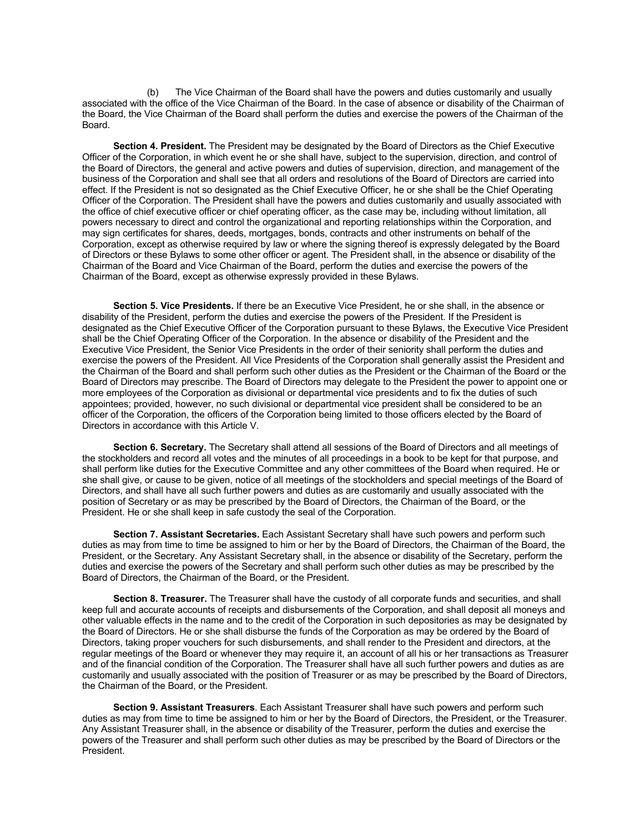(b) The Vice Chairman of the Board shall have the powers and duties customarily and usually associated with the office of the Vice Chairman of the Board. In the case of absence or disability of the Chairman of the Board, the Vice Chairman of the Board shall perform the duties and exercise the powers of the Chairman of the Board.

**Section 4. President.** The President may be designated by the Board of Directors as the Chief Executive Officer of the Corporation, in which event he or she shall have, subject to the supervision, direction, and control of the Board of Directors, the general and active powers and duties of supervision, direction, and management of the business of the Corporation and shall see that all orders and resolutions of the Board of Directors are carried into effect. If the President is not so designated as the Chief Executive Officer, he or she shall be the Chief Operating Officer of the Corporation. The President shall have the powers and duties customarily and usually associated with the office of chief executive officer or chief operating officer, as the case may be, including without limitation, all powers necessary to direct and control the organizational and reporting relationships within the Corporation, and may sign certificates for shares, deeds, mortgages, bonds, contracts and other instruments on behalf of the Corporation, except as otherwise required by law or where the signing thereof is expressly delegated by the Board of Directors or these Bylaws to some other officer or agent. The President shall, in the absence or disability of the Chairman of the Board and Vice Chairman of the Board, perform the duties and exercise the powers of the Chairman of the Board, except as otherwise expressly provided in these Bylaws.

**Section 5. Vice Presidents.** If there be an Executive Vice President, he or she shall, in the absence or disability of the President, perform the duties and exercise the powers of the President. If the President is designated as the Chief Executive Officer of the Corporation pursuant to these Bylaws, the Executive Vice President shall be the Chief Operating Officer of the Corporation. In the absence or disability of the President and the Executive Vice President, the Senior Vice Presidents in the order of their seniority shall perform the duties and exercise the powers of the President. All Vice Presidents of the Corporation shall generally assist the President and the Chairman of the Board and shall perform such other duties as the President or the Chairman of the Board or the Board of Directors may prescribe. The Board of Directors may delegate to the President the power to appoint one or more employees of the Corporation as divisional or departmental vice presidents and to fix the duties of such appointees; provided, however, no such divisional or departmental vice president shall be considered to be an officer of the Corporation, the officers of the Corporation being limited to those officers elected by the Board of Directors in accordance with this Article V.

**Section 6. Secretary.** The Secretary shall attend all sessions of the Board of Directors and all meetings of the stockholders and record all votes and the minutes of all proceedings in a book to be kept for that purpose, and shall perform like duties for the Executive Committee and any other committees of the Board when required. He or she shall give, or cause to be given, notice of all meetings of the stockholders and special meetings of the Board of Directors, and shall have all such further powers and duties as are customarily and usually associated with the position of Secretary or as may be prescribed by the Board of Directors, the Chairman of the Board, or the President. He or she shall keep in safe custody the seal of the Corporation.

**Section 7. Assistant Secretaries.** Each Assistant Secretary shall have such powers and perform such duties as may from time to time be assigned to him or her by the Board of Directors, the Chairman of the Board, the President, or the Secretary. Any Assistant Secretary shall, in the absence or disability of the Secretary, perform the duties and exercise the powers of the Secretary and shall perform such other duties as may be prescribed by the Board of Directors, the Chairman of the Board, or the President.

**Section 8. Treasurer.** The Treasurer shall have the custody of all corporate funds and securities, and shall keep full and accurate accounts of receipts and disbursements of the Corporation, and shall deposit all moneys and other valuable effects in the name and to the credit of the Corporation in such depositories as may be designated by the Board of Directors. He or she shall disburse the funds of the Corporation as may be ordered by the Board of Directors, taking proper vouchers for such disbursements, and shall render to the President and directors, at the regular meetings of the Board or whenever they may require it, an account of all his or her transactions as Treasurer and of the financial condition of the Corporation. The Treasurer shall have all such further powers and duties as are customarily and usually associated with the position of Treasurer or as may be prescribed by the Board of Directors, the Chairman of the Board, or the President.

**Section 9. Assistant Treasurers**. Each Assistant Treasurer shall have such powers and perform such duties as may from time to time be assigned to him or her by the Board of Directors, the President, or the Treasurer. Any Assistant Treasurer shall, in the absence or disability of the Treasurer, perform the duties and exercise the powers of the Treasurer and shall perform such other duties as may be prescribed by the Board of Directors or the President.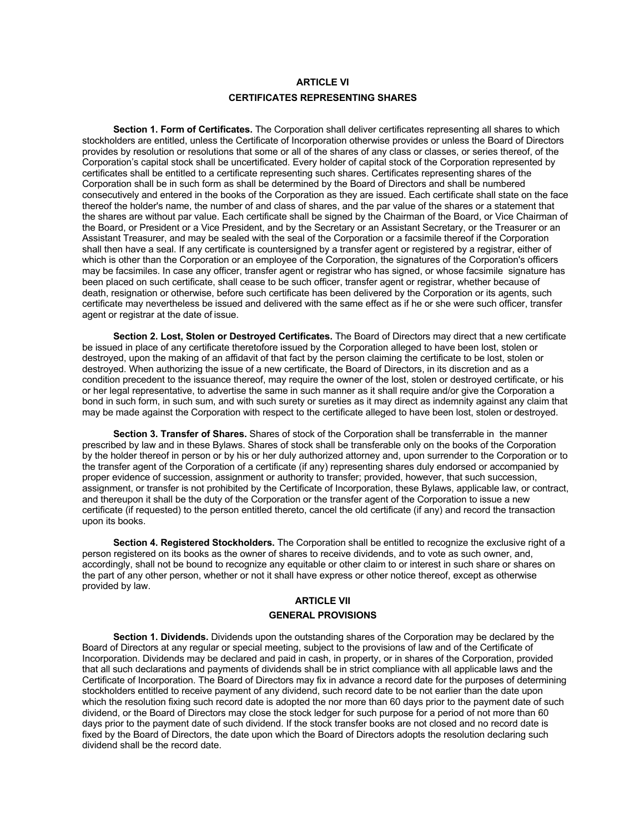# **ARTICLE VI CERTIFICATES REPRESENTING SHARES**

**Section 1. Form of Certificates.** The Corporation shall deliver certificates representing all shares to which stockholders are entitled, unless the Certificate of Incorporation otherwise provides or unless the Board of Directors provides by resolution or resolutions that some or all of the shares of any class or classes, or series thereof, of the Corporation's capital stock shall be uncertificated. Every holder of capital stock of the Corporation represented by certificates shall be entitled to a certificate representing such shares. Certificates representing shares of the Corporation shall be in such form as shall be determined by the Board of Directors and shall be numbered consecutively and entered in the books of the Corporation as they are issued. Each certificate shall state on the face thereof the holder's name, the number of and class of shares, and the par value of the shares or a statement that the shares are without par value. Each certificate shall be signed by the Chairman of the Board, or Vice Chairman of the Board, or President or a Vice President, and by the Secretary or an Assistant Secretary, or the Treasurer or an Assistant Treasurer, and may be sealed with the seal of the Corporation or a facsimile thereof if the Corporation shall then have a seal. If any certificate is countersigned by a transfer agent or registered by a registrar, either of which is other than the Corporation or an employee of the Corporation, the signatures of the Corporation's officers may be facsimiles. In case any officer, transfer agent or registrar who has signed, or whose facsimile signature has been placed on such certificate, shall cease to be such officer, transfer agent or registrar, whether because of death, resignation or otherwise, before such certificate has been delivered by the Corporation or its agents, such certificate may nevertheless be issued and delivered with the same effect as if he or she were such officer, transfer agent or registrar at the date of issue.

**Section 2. Lost, Stolen or Destroyed Certificates.** The Board of Directors may direct that a new certificate be issued in place of any certificate theretofore issued by the Corporation alleged to have been lost, stolen or destroyed, upon the making of an affidavit of that fact by the person claiming the certificate to be lost, stolen or destroyed. When authorizing the issue of a new certificate, the Board of Directors, in its discretion and as a condition precedent to the issuance thereof, may require the owner of the lost, stolen or destroyed certificate, or his or her legal representative, to advertise the same in such manner as it shall require and/or give the Corporation a bond in such form, in such sum, and with such surety or sureties as it may direct as indemnity against any claim that may be made against the Corporation with respect to the certificate alleged to have been lost, stolen or destroyed.

**Section 3. Transfer of Shares.** Shares of stock of the Corporation shall be transferrable in the manner prescribed by law and in these Bylaws. Shares of stock shall be transferable only on the books of the Corporation by the holder thereof in person or by his or her duly authorized attorney and, upon surrender to the Corporation or to the transfer agent of the Corporation of a certificate (if any) representing shares duly endorsed or accompanied by proper evidence of succession, assignment or authority to transfer; provided, however, that such succession, assignment, or transfer is not prohibited by the Certificate of Incorporation, these Bylaws, applicable law, or contract, and thereupon it shall be the duty of the Corporation or the transfer agent of the Corporation to issue a new certificate (if requested) to the person entitled thereto, cancel the old certificate (if any) and record the transaction upon its books.

**Section 4. Registered Stockholders.** The Corporation shall be entitled to recognize the exclusive right of a person registered on its books as the owner of shares to receive dividends, and to vote as such owner, and, accordingly, shall not be bound to recognize any equitable or other claim to or interest in such share or shares on the part of any other person, whether or not it shall have express or other notice thereof, except as otherwise provided by law.

# **ARTICLE VII GENERAL PROVISIONS**

**Section 1. Dividends.** Dividends upon the outstanding shares of the Corporation may be declared by the Board of Directors at any regular or special meeting, subject to the provisions of law and of the Certificate of Incorporation. Dividends may be declared and paid in cash, in property, or in shares of the Corporation, provided that all such declarations and payments of dividends shall be in strict compliance with all applicable laws and the Certificate of Incorporation. The Board of Directors may fix in advance a record date for the purposes of determining stockholders entitled to receive payment of any dividend, such record date to be not earlier than the date upon which the resolution fixing such record date is adopted the nor more than 60 days prior to the payment date of such dividend, or the Board of Directors may close the stock ledger for such purpose for a period of not more than 60 days prior to the payment date of such dividend. If the stock transfer books are not closed and no record date is fixed by the Board of Directors, the date upon which the Board of Directors adopts the resolution declaring such dividend shall be the record date.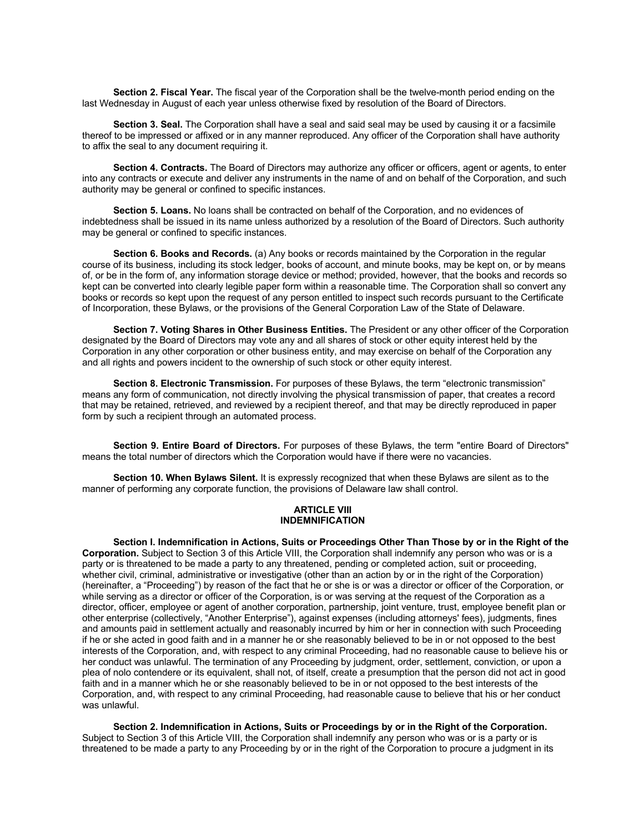**Section 2. Fiscal Year.** The fiscal year of the Corporation shall be the twelve-month period ending on the last Wednesday in August of each year unless otherwise fixed by resolution of the Board of Directors.

**Section 3. Seal.** The Corporation shall have a seal and said seal may be used by causing it or a facsimile thereof to be impressed or affixed or in any manner reproduced. Any officer of the Corporation shall have authority to affix the seal to any document requiring it.

**Section 4. Contracts.** The Board of Directors may authorize any officer or officers, agent or agents, to enter into any contracts or execute and deliver any instruments in the name of and on behalf of the Corporation, and such authority may be general or confined to specific instances.

**Section 5. Loans.** No loans shall be contracted on behalf of the Corporation, and no evidences of indebtedness shall be issued in its name unless authorized by a resolution of the Board of Directors. Such authority may be general or confined to specific instances.

**Section 6. Books and Records.** (a) Any books or records maintained by the Corporation in the regular course of its business, including its stock ledger, books of account, and minute books, may be kept on, or by means of, or be in the form of, any information storage device or method; provided, however, that the books and records so kept can be converted into clearly legible paper form within a reasonable time. The Corporation shall so convert any books or records so kept upon the request of any person entitled to inspect such records pursuant to the Certificate of Incorporation, these Bylaws, or the provisions of the General Corporation Law of the State of Delaware.

**Section 7. Voting Shares in Other Business Entities.** The President or any other officer of the Corporation designated by the Board of Directors may vote any and all shares of stock or other equity interest held by the Corporation in any other corporation or other business entity, and may exercise on behalf of the Corporation any and all rights and powers incident to the ownership of such stock or other equity interest.

**Section 8. Electronic Transmission.** For purposes of these Bylaws, the term "electronic transmission" means any form of communication, not directly involving the physical transmission of paper, that creates a record that may be retained, retrieved, and reviewed by a recipient thereof, and that may be directly reproduced in paper form by such a recipient through an automated process.

**Section 9. Entire Board of Directors.** For purposes of these Bylaws, the term "entire Board of Directors" means the total number of directors which the Corporation would have if there were no vacancies.

**Section 10. When Bylaws Silent.** It is expressly recognized that when these Bylaws are silent as to the manner of performing any corporate function, the provisions of Delaware law shall control.

#### **ARTICLE VIII INDEMNIFICATION**

**Section I. Indemnification in Actions, Suits or Proceedings Other Than Those by or in the Right of the Corporation.** Subject to Section 3 of this Article VIII, the Corporation shall indemnify any person who was or is a party or is threatened to be made a party to any threatened, pending or completed action, suit or proceeding, whether civil, criminal, administrative or investigative (other than an action by or in the right of the Corporation) (hereinafter, a "Proceeding") by reason of the fact that he or she is or was a director or officer of the Corporation, or while serving as a director or officer of the Corporation, is or was serving at the request of the Corporation as a director, officer, employee or agent of another corporation, partnership, joint venture, trust, employee benefit plan or other enterprise (collectively, "Another Enterprise"), against expenses (including attorneys' fees), judgments, fines and amounts paid in settlement actually and reasonably incurred by him or her in connection with such Proceeding if he or she acted in good faith and in a manner he or she reasonably believed to be in or not opposed to the best interests of the Corporation, and, with respect to any criminal Proceeding, had no reasonable cause to believe his or her conduct was unlawful. The termination of any Proceeding by judgment, order, settlement, conviction, or upon a plea of nolo contendere or its equivalent, shall not, of itself, create a presumption that the person did not act in good faith and in a manner which he or she reasonably believed to be in or not opposed to the best interests of the Corporation, and, with respect to any criminal Proceeding, had reasonable cause to believe that his or her conduct was unlawful.

**Section 2. Indemnification in Actions, Suits or Proceedings by or in the Right of the Corporation.**  Subject to Section 3 of this Article VIII, the Corporation shall indemnify any person who was or is a party or is threatened to be made a party to any Proceeding by or in the right of the Corporation to procure a judgment in its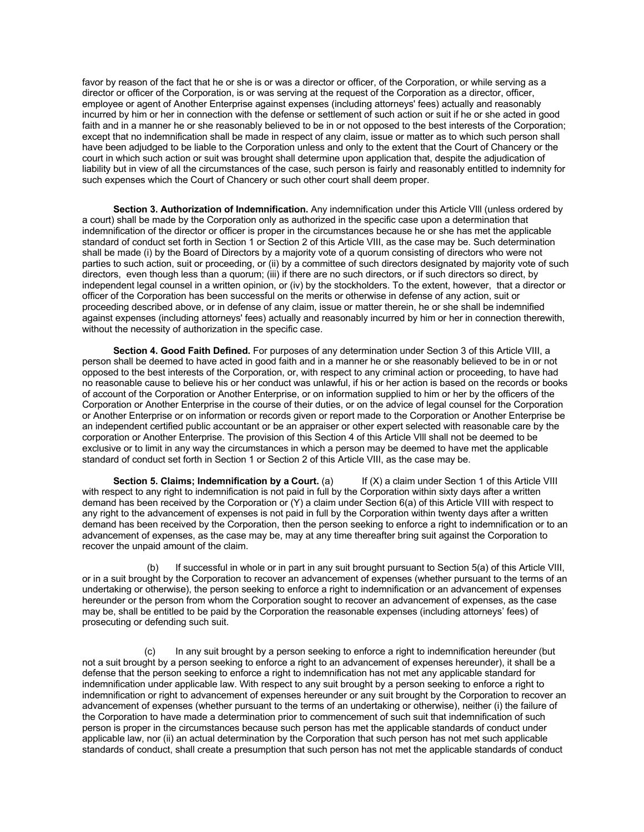favor by reason of the fact that he or she is or was a director or officer, of the Corporation, or while serving as a director or officer of the Corporation, is or was serving at the request of the Corporation as a director, officer, employee or agent of Another Enterprise against expenses (including attorneys' fees) actually and reasonably incurred by him or her in connection with the defense or settlement of such action or suit if he or she acted in good faith and in a manner he or she reasonably believed to be in or not opposed to the best interests of the Corporation; except that no indemnification shall be made in respect of any claim, issue or matter as to which such person shall have been adjudged to be liable to the Corporation unless and only to the extent that the Court of Chancery or the court in which such action or suit was brought shall determine upon application that, despite the adjudication of liability but in view of all the circumstances of the case, such person is fairly and reasonably entitled to indemnity for such expenses which the Court of Chancery or such other court shall deem proper.

**Section 3. Authorization of Indemnification.** Any indemnification under this Article VIll (unless ordered by a court) shall be made by the Corporation only as authorized in the specific case upon a determination that indemnification of the director or officer is proper in the circumstances because he or she has met the applicable standard of conduct set forth in Section 1 or Section 2 of this Article VIII, as the case may be. Such determination shall be made (i) by the Board of Directors by a majority vote of a quorum consisting of directors who were not parties to such action, suit or proceeding, or (ii) by a committee of such directors designated by majority vote of such directors, even though less than a quorum; (iii) if there are no such directors, or if such directors so direct, by independent legal counsel in a written opinion, or (iv) by the stockholders. To the extent, however, that a director or officer of the Corporation has been successful on the merits or otherwise in defense of any action, suit or proceeding described above, or in defense of any claim, issue or matter therein, he or she shall be indemnified against expenses (including attorneys' fees) actually and reasonably incurred by him or her in connection therewith, without the necessity of authorization in the specific case.

**Section 4. Good Faith Defined.** For purposes of any determination under Section 3 of this Article VIII, a person shall be deemed to have acted in good faith and in a manner he or she reasonably believed to be in or not opposed to the best interests of the Corporation, or, with respect to any criminal action or proceeding, to have had no reasonable cause to believe his or her conduct was unlawful, if his or her action is based on the records or books of account of the Corporation or Another Enterprise, or on information supplied to him or her by the officers of the Corporation or Another Enterprise in the course of their duties, or on the advice of legal counsel for the Corporation or Another Enterprise or on information or records given or report made to the Corporation or Another Enterprise be an independent certified public accountant or be an appraiser or other expert selected with reasonable care by the corporation or Another Enterprise. The provision of this Section 4 of this Article Vlll shall not be deemed to be exclusive or to limit in any way the circumstances in which a person may be deemed to have met the applicable standard of conduct set forth in Section 1 or Section 2 of this Article VIII, as the case may be.

**Section 5. Claims; Indemnification by a Court.** (a) If (X) a claim under Section 1 of this Article VIII with respect to any right to indemnification is not paid in full by the Corporation within sixty days after a written demand has been received by the Corporation or (Y) a claim under Section 6(a) of this Article VIII with respect to any right to the advancement of expenses is not paid in full by the Corporation within twenty days after a written demand has been received by the Corporation, then the person seeking to enforce a right to indemnification or to an advancement of expenses, as the case may be, may at any time thereafter bring suit against the Corporation to recover the unpaid amount of the claim.

(b) If successful in whole or in part in any suit brought pursuant to Section 5(a) of this Article VIII, or in a suit brought by the Corporation to recover an advancement of expenses (whether pursuant to the terms of an undertaking or otherwise), the person seeking to enforce a right to indemnification or an advancement of expenses hereunder or the person from whom the Corporation sought to recover an advancement of expenses, as the case may be, shall be entitled to be paid by the Corporation the reasonable expenses (including attorneys' fees) of prosecuting or defending such suit.

In any suit brought by a person seeking to enforce a right to indemnification hereunder (but not a suit brought by a person seeking to enforce a right to an advancement of expenses hereunder), it shall be a defense that the person seeking to enforce a right to indemnification has not met any applicable standard for indemnification under applicable law. With respect to any suit brought by a person seeking to enforce a right to indemnification or right to advancement of expenses hereunder or any suit brought by the Corporation to recover an advancement of expenses (whether pursuant to the terms of an undertaking or otherwise), neither (i) the failure of the Corporation to have made a determination prior to commencement of such suit that indemnification of such person is proper in the circumstances because such person has met the applicable standards of conduct under applicable law, nor (ii) an actual determination by the Corporation that such person has not met such applicable standards of conduct, shall create a presumption that such person has not met the applicable standards of conduct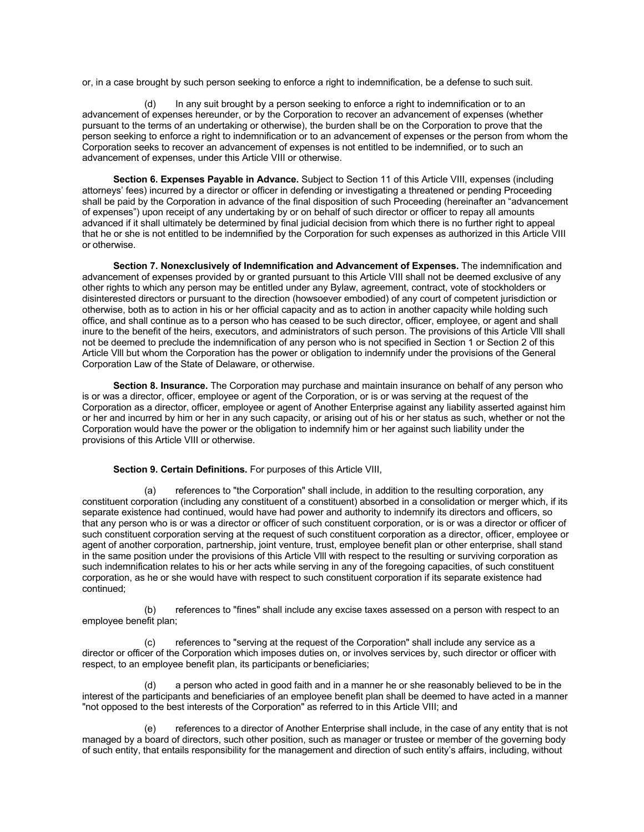or, in a case brought by such person seeking to enforce a right to indemnification, be a defense to such suit.

(d) In any suit brought by a person seeking to enforce a right to indemnification or to an advancement of expenses hereunder, or by the Corporation to recover an advancement of expenses (whether pursuant to the terms of an undertaking or otherwise), the burden shall be on the Corporation to prove that the person seeking to enforce a right to indemnification or to an advancement of expenses or the person from whom the Corporation seeks to recover an advancement of expenses is not entitled to be indemnified, or to such an advancement of expenses, under this Article VIII or otherwise.

**Section 6. Expenses Payable in Advance.** Subject to Section 11 of this Article VIII, expenses (including attorneys' fees) incurred by a director or officer in defending or investigating a threatened or pending Proceeding shall be paid by the Corporation in advance of the final disposition of such Proceeding (hereinafter an "advancement of expenses") upon receipt of any undertaking by or on behalf of such director or officer to repay all amounts advanced if it shall ultimately be determined by final judicial decision from which there is no further right to appeal that he or she is not entitled to be indemnified by the Corporation for such expenses as authorized in this Article VIII or otherwise.

**Section 7. Nonexclusively of Indemnification and Advancement of Expenses.** The indemnification and advancement of expenses provided by or granted pursuant to this Article VIII shall not be deemed exclusive of any other rights to which any person may be entitled under any Bylaw, agreement, contract, vote of stockholders or disinterested directors or pursuant to the direction (howsoever embodied) of any court of competent jurisdiction or otherwise, both as to action in his or her official capacity and as to action in another capacity while holding such office, and shall continue as to a person who has ceased to be such director, officer, employee, or agent and shall inure to the benefit of the heirs, executors, and administrators of such person. The provisions of this Article Vlll shall not be deemed to preclude the indemnification of any person who is not specified in Section 1 or Section 2 of this Article Vlll but whom the Corporation has the power or obligation to indemnify under the provisions of the General Corporation Law of the State of Delaware, or otherwise.

**Section 8. Insurance.** The Corporation may purchase and maintain insurance on behalf of any person who is or was a director, officer, employee or agent of the Corporation, or is or was serving at the request of the Corporation as a director, officer, employee or agent of Another Enterprise against any liability asserted against him or her and incurred by him or her in any such capacity, or arising out of his or her status as such, whether or not the Corporation would have the power or the obligation to indemnify him or her against such liability under the provisions of this Article VIII or otherwise.

#### **Section 9. Certain Definitions.** For purposes of this Article VIII,

(a) references to "the Corporation" shall include, in addition to the resulting corporation, any constituent corporation (including any constituent of a constituent) absorbed in a consolidation or merger which, if its separate existence had continued, would have had power and authority to indemnify its directors and officers, so that any person who is or was a director or officer of such constituent corporation, or is or was a director or officer of such constituent corporation serving at the request of such constituent corporation as a director, officer, employee or agent of another corporation, partnership, joint venture, trust, employee benefit plan or other enterprise, shall stand in the same position under the provisions of this Article Vlll with respect to the resulting or surviving corporation as such indemnification relates to his or her acts while serving in any of the foregoing capacities, of such constituent corporation, as he or she would have with respect to such constituent corporation if its separate existence had continued;

(b) references to "fines" shall include any excise taxes assessed on a person with respect to an employee benefit plan;

references to "serving at the request of the Corporation" shall include any service as a director or officer of the Corporation which imposes duties on, or involves services by, such director or officer with respect, to an employee benefit plan, its participants or beneficiaries;

a person who acted in good faith and in a manner he or she reasonably believed to be in the interest of the participants and beneficiaries of an employee benefit plan shall be deemed to have acted in a manner "not opposed to the best interests of the Corporation" as referred to in this Article VIII; and

(e) references to a director of Another Enterprise shall include, in the case of any entity that is not managed by a board of directors, such other position, such as manager or trustee or member of the governing body of such entity, that entails responsibility for the management and direction of such entity's affairs, including, without